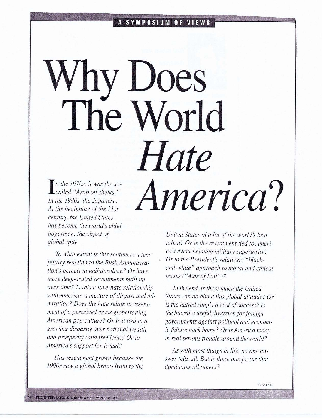## SYMPOSIUM OF VIEWS

## **yDoes**  The World In the 1970s, it was the so-<br>called "Arab oil sheiks." n *the 1970s, it was the soin the 1980s, the Japanese. At the beginning of the 21st Hate*  **America?**

*century, the Unired States has become the world's chief bogeyman, the objecr of global spite.* 

*To what extent is this sentiment a temporary reaction to the Bush Administration's perceived unilateralism? Or have more deep-seated resentments built up over time? Is this a love-hate relationship with America, a mixture of disgust and admiration? Does the hate relate to resentment of a perceived crass globetrotting American pop culture? Or is it tied to a growing disparity over national wealth and prosperity (and freedom)? Or to America's support for Israel?* 

*Has resentment grown because the 1990s saw a global brain-drain to the* 

United States of a lot of the world's best *talent? Or is the resentment tied to Ameri* $ca's$  overwhelming military superiority? *Or to the President's relatively '-'blackand-white" approach to moral and ethical issues ("Axis of Evil")?* 

*In the end, is there much the United States can do about this global attitude? Or is the hatred simply a cost of success? ls the hatred a useful diversion for foreign governments against political and economic failure back home? Or is America today in real serious trouble around the world?* 

*As with most things in life, no one answer tells all. But is there one factor that dominates all others?*